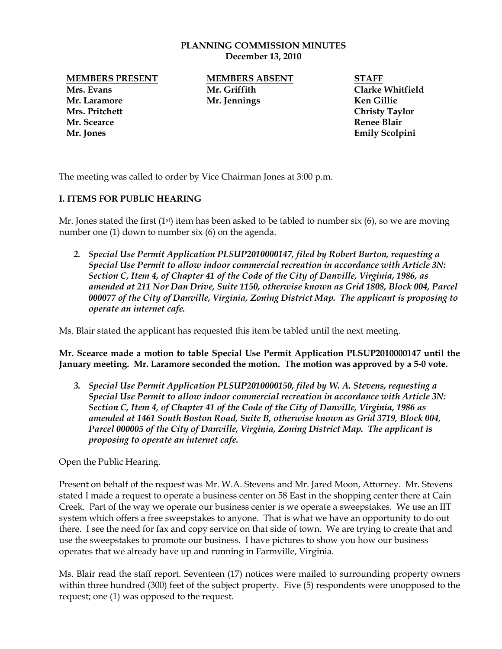#### **PLANNING COMMISSION MINUTES December 13, 2010**

**MEMBERS PRESENT MEMBERS ABSENT STAFF**

**Mrs. Pritchett Christy Taylor Mr. Scearce Renee Blair Mr. Jones Emily Scolpini**

**Mrs. Evans Mr. Griffith Clarke Whitfield Mr. Laramore Mr. Jennings Ken Gillie**

The meeting was called to order by Vice Chairman Jones at 3:00 p.m.

# **I. ITEMS FOR PUBLIC HEARING**

Mr. Jones stated the first  $(1^{st})$  item has been asked to be tabled to number six  $(6)$ , so we are moving number one (1) down to number six (6) on the agenda.

*2. Special Use Permit Application PLSUP2010000147, filed by Robert Burton, requesting a Special Use Permit to allow indoor commercial recreation in accordance with Article 3N: Section C, Item 4, of Chapter 41 of the Code of the City of Danville, Virginia, 1986, as amended at 211 Nor Dan Drive, Suite 1150, otherwise known as Grid 1808, Block 004, Parcel 000077 of the City of Danville, Virginia, Zoning District Map. The applicant is proposing to operate an internet cafe.*

Ms. Blair stated the applicant has requested this item be tabled until the next meeting.

**Mr. Scearce made a motion to table Special Use Permit Application PLSUP2010000147 until the January meeting. Mr. Laramore seconded the motion. The motion was approved by a 5-0 vote.** 

*3. Special Use Permit Application PLSUP2010000150, filed by W. A. Stevens, requesting a Special Use Permit to allow indoor commercial recreation in accordance with Article 3N: Section C, Item 4, of Chapter 41 of the Code of the City of Danville, Virginia, 1986 as amended at 1461 South Boston Road, Suite B, otherwise known as Grid 3719, Block 004, Parcel 000005 of the City of Danville, Virginia, Zoning District Map. The applicant is proposing to operate an internet cafe.*

Open the Public Hearing.

Present on behalf of the request was Mr. W.A. Stevens and Mr. Jared Moon, Attorney. Mr. Stevens stated I made a request to operate a business center on 58 East in the shopping center there at Cain Creek. Part of the way we operate our business center is we operate a sweepstakes. We use an IIT system which offers a free sweepstakes to anyone. That is what we have an opportunity to do out there. I see the need for fax and copy service on that side of town. We are trying to create that and use the sweepstakes to promote our business. I have pictures to show you how our business operates that we already have up and running in Farmville, Virginia.

Ms. Blair read the staff report. Seventeen (17) notices were mailed to surrounding property owners within three hundred (300) feet of the subject property. Five (5) respondents were unopposed to the request; one (1) was opposed to the request.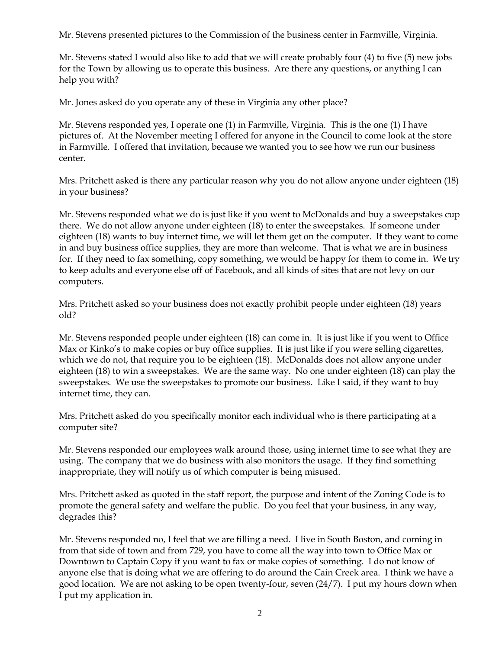Mr. Stevens presented pictures to the Commission of the business center in Farmville, Virginia.

Mr. Stevens stated I would also like to add that we will create probably four (4) to five (5) new jobs for the Town by allowing us to operate this business. Are there any questions, or anything I can help you with?

Mr. Jones asked do you operate any of these in Virginia any other place?

Mr. Stevens responded yes, I operate one (1) in Farmville, Virginia. This is the one (1) I have pictures of. At the November meeting I offered for anyone in the Council to come look at the store in Farmville. I offered that invitation, because we wanted you to see how we run our business center.

Mrs. Pritchett asked is there any particular reason why you do not allow anyone under eighteen (18) in your business?

Mr. Stevens responded what we do is just like if you went to McDonalds and buy a sweepstakes cup there. We do not allow anyone under eighteen (18) to enter the sweepstakes. If someone under eighteen (18) wants to buy internet time, we will let them get on the computer. If they want to come in and buy business office supplies, they are more than welcome. That is what we are in business for. If they need to fax something, copy something, we would be happy for them to come in. We try to keep adults and everyone else off of Facebook, and all kinds of sites that are not levy on our computers.

Mrs. Pritchett asked so your business does not exactly prohibit people under eighteen (18) years old?

Mr. Stevens responded people under eighteen (18) can come in. It is just like if you went to Office Max or Kinko's to make copies or buy office supplies. It is just like if you were selling cigarettes, which we do not, that require you to be eighteen (18). McDonalds does not allow anyone under eighteen (18) to win a sweepstakes. We are the same way. No one under eighteen (18) can play the sweepstakes. We use the sweepstakes to promote our business. Like I said, if they want to buy internet time, they can.

Mrs. Pritchett asked do you specifically monitor each individual who is there participating at a computer site?

Mr. Stevens responded our employees walk around those, using internet time to see what they are using. The company that we do business with also monitors the usage. If they find something inappropriate, they will notify us of which computer is being misused.

Mrs. Pritchett asked as quoted in the staff report, the purpose and intent of the Zoning Code is to promote the general safety and welfare the public. Do you feel that your business, in any way, degrades this?

Mr. Stevens responded no, I feel that we are filling a need. I live in South Boston, and coming in from that side of town and from 729, you have to come all the way into town to Office Max or Downtown to Captain Copy if you want to fax or make copies of something. I do not know of anyone else that is doing what we are offering to do around the Cain Creek area. I think we have a good location. We are not asking to be open twenty-four, seven (24/7). I put my hours down when I put my application in.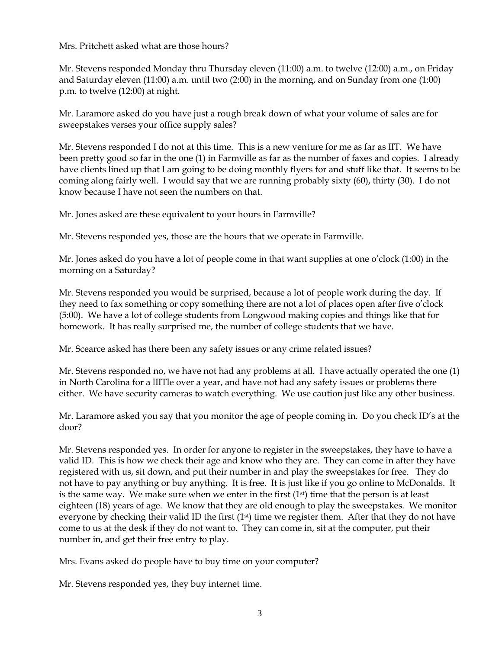Mrs. Pritchett asked what are those hours?

Mr. Stevens responded Monday thru Thursday eleven (11:00) a.m. to twelve (12:00) a.m., on Friday and Saturday eleven (11:00) a.m. until two (2:00) in the morning, and on Sunday from one (1:00) p.m. to twelve (12:00) at night.

Mr. Laramore asked do you have just a rough break down of what your volume of sales are for sweepstakes verses your office supply sales?

Mr. Stevens responded I do not at this time. This is a new venture for me as far as IIT. We have been pretty good so far in the one (1) in Farmville as far as the number of faxes and copies. I already have clients lined up that I am going to be doing monthly flyers for and stuff like that. It seems to be coming along fairly well. I would say that we are running probably sixty (60), thirty (30). I do not know because I have not seen the numbers on that.

Mr. Jones asked are these equivalent to your hours in Farmville?

Mr. Stevens responded yes, those are the hours that we operate in Farmville.

Mr. Jones asked do you have a lot of people come in that want supplies at one o"clock (1:00) in the morning on a Saturday?

Mr. Stevens responded you would be surprised, because a lot of people work during the day. If they need to fax something or copy something there are not a lot of places open after five o"clock (5:00). We have a lot of college students from Longwood making copies and things like that for homework. It has really surprised me, the number of college students that we have.

Mr. Scearce asked has there been any safety issues or any crime related issues?

Mr. Stevens responded no, we have not had any problems at all. I have actually operated the one (1) in North Carolina for a lIITle over a year, and have not had any safety issues or problems there either. We have security cameras to watch everything. We use caution just like any other business.

Mr. Laramore asked you say that you monitor the age of people coming in. Do you check ID"s at the door?

Mr. Stevens responded yes. In order for anyone to register in the sweepstakes, they have to have a valid ID. This is how we check their age and know who they are. They can come in after they have registered with us, sit down, and put their number in and play the sweepstakes for free. They do not have to pay anything or buy anything. It is free. It is just like if you go online to McDonalds. It is the same way. We make sure when we enter in the first  $(1<sup>st</sup>)$  time that the person is at least eighteen (18) years of age. We know that they are old enough to play the sweepstakes. We monitor everyone by checking their valid ID the first  $(1<sup>st</sup>)$  time we register them. After that they do not have come to us at the desk if they do not want to. They can come in, sit at the computer, put their number in, and get their free entry to play.

Mrs. Evans asked do people have to buy time on your computer?

Mr. Stevens responded yes, they buy internet time.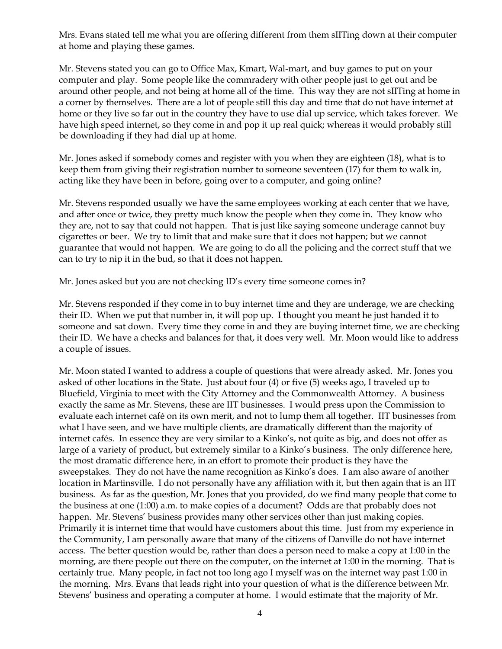Mrs. Evans stated tell me what you are offering different from them sIITing down at their computer at home and playing these games.

Mr. Stevens stated you can go to Office Max, Kmart, Wal-mart, and buy games to put on your computer and play. Some people like the commradery with other people just to get out and be around other people, and not being at home all of the time. This way they are not sIITing at home in a corner by themselves. There are a lot of people still this day and time that do not have internet at home or they live so far out in the country they have to use dial up service, which takes forever. We have high speed internet, so they come in and pop it up real quick; whereas it would probably still be downloading if they had dial up at home.

Mr. Jones asked if somebody comes and register with you when they are eighteen (18), what is to keep them from giving their registration number to someone seventeen (17) for them to walk in, acting like they have been in before, going over to a computer, and going online?

Mr. Stevens responded usually we have the same employees working at each center that we have, and after once or twice, they pretty much know the people when they come in. They know who they are, not to say that could not happen. That is just like saying someone underage cannot buy cigarettes or beer. We try to limit that and make sure that it does not happen; but we cannot guarantee that would not happen. We are going to do all the policing and the correct stuff that we can to try to nip it in the bud, so that it does not happen.

Mr. Jones asked but you are not checking ID's every time someone comes in?

Mr. Stevens responded if they come in to buy internet time and they are underage, we are checking their ID. When we put that number in, it will pop up. I thought you meant he just handed it to someone and sat down. Every time they come in and they are buying internet time, we are checking their ID. We have a checks and balances for that, it does very well. Mr. Moon would like to address a couple of issues.

Mr. Moon stated I wanted to address a couple of questions that were already asked. Mr. Jones you asked of other locations in the State. Just about four (4) or five (5) weeks ago, I traveled up to Bluefield, Virginia to meet with the City Attorney and the Commonwealth Attorney. A business exactly the same as Mr. Stevens, these are IIT businesses. I would press upon the Commission to evaluate each internet café on its own merit, and not to lump them all together. IIT businesses from what I have seen, and we have multiple clients, are dramatically different than the majority of internet cafés. In essence they are very similar to a Kinko"s, not quite as big, and does not offer as large of a variety of product, but extremely similar to a Kinko"s business. The only difference here, the most dramatic difference here, in an effort to promote their product is they have the sweepstakes. They do not have the name recognition as Kinko"s does. I am also aware of another location in Martinsville. I do not personally have any affiliation with it, but then again that is an IIT business. As far as the question, Mr. Jones that you provided, do we find many people that come to the business at one (1:00) a.m. to make copies of a document? Odds are that probably does not happen. Mr. Stevens' business provides many other services other than just making copies. Primarily it is internet time that would have customers about this time. Just from my experience in the Community, I am personally aware that many of the citizens of Danville do not have internet access. The better question would be, rather than does a person need to make a copy at 1:00 in the morning, are there people out there on the computer, on the internet at 1:00 in the morning. That is certainly true. Many people, in fact not too long ago I myself was on the internet way past 1:00 in the morning. Mrs. Evans that leads right into your question of what is the difference between Mr. Stevens" business and operating a computer at home. I would estimate that the majority of Mr.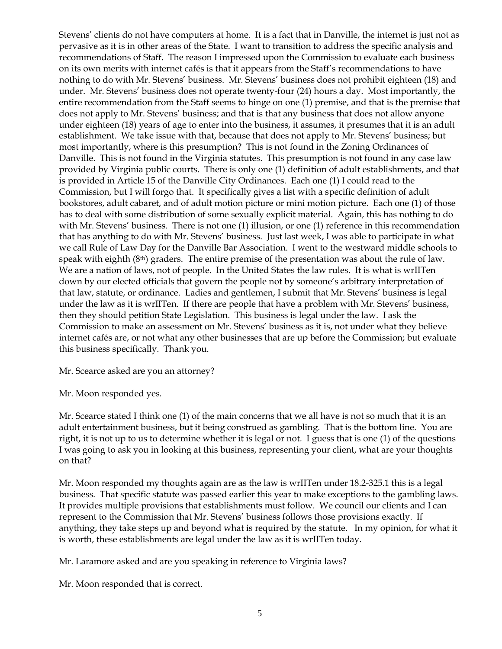Stevens" clients do not have computers at home. It is a fact that in Danville, the internet is just not as pervasive as it is in other areas of the State. I want to transition to address the specific analysis and recommendations of Staff. The reason I impressed upon the Commission to evaluate each business on its own merits with internet cafés is that it appears from the Staff"s recommendations to have nothing to do with Mr. Stevens" business. Mr. Stevens" business does not prohibit eighteen (18) and under. Mr. Stevens' business does not operate twenty-four (24) hours a day. Most importantly, the entire recommendation from the Staff seems to hinge on one (1) premise, and that is the premise that does not apply to Mr. Stevens" business; and that is that any business that does not allow anyone under eighteen (18) years of age to enter into the business, it assumes, it presumes that it is an adult establishment. We take issue with that, because that does not apply to Mr. Stevens" business; but most importantly, where is this presumption? This is not found in the Zoning Ordinances of Danville. This is not found in the Virginia statutes. This presumption is not found in any case law provided by Virginia public courts. There is only one (1) definition of adult establishments, and that is provided in Article 15 of the Danville City Ordinances. Each one (1) I could read to the Commission, but I will forgo that. It specifically gives a list with a specific definition of adult bookstores, adult cabaret, and of adult motion picture or mini motion picture. Each one (1) of those has to deal with some distribution of some sexually explicit material. Again, this has nothing to do with Mr. Stevens' business. There is not one (1) illusion, or one (1) reference in this recommendation that has anything to do with Mr. Stevens" business. Just last week, I was able to participate in what we call Rule of Law Day for the Danville Bar Association. I went to the westward middle schools to speak with eighth  $(8<sup>th</sup>)$  graders. The entire premise of the presentation was about the rule of law. We are a nation of laws, not of people. In the United States the law rules. It is what is wrIITen down by our elected officials that govern the people not by someone's arbitrary interpretation of that law, statute, or ordinance. Ladies and gentlemen, I submit that Mr. Stevens" business is legal under the law as it is wrIITen. If there are people that have a problem with Mr. Stevens" business, then they should petition State Legislation. This business is legal under the law. I ask the Commission to make an assessment on Mr. Stevens" business as it is, not under what they believe internet cafés are, or not what any other businesses that are up before the Commission; but evaluate this business specifically. Thank you.

Mr. Scearce asked are you an attorney?

Mr. Moon responded yes.

Mr. Scearce stated I think one (1) of the main concerns that we all have is not so much that it is an adult entertainment business, but it being construed as gambling. That is the bottom line. You are right, it is not up to us to determine whether it is legal or not. I guess that is one (1) of the questions I was going to ask you in looking at this business, representing your client, what are your thoughts on that?

Mr. Moon responded my thoughts again are as the law is wrIITen under 18.2-325.1 this is a legal business. That specific statute was passed earlier this year to make exceptions to the gambling laws. It provides multiple provisions that establishments must follow. We council our clients and I can represent to the Commission that Mr. Stevens" business follows those provisions exactly. If anything, they take steps up and beyond what is required by the statute. In my opinion, for what it is worth, these establishments are legal under the law as it is wrIITen today.

Mr. Laramore asked and are you speaking in reference to Virginia laws?

Mr. Moon responded that is correct.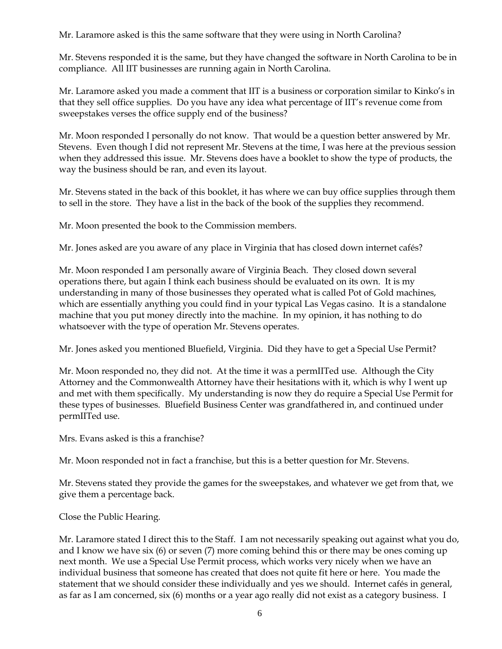Mr. Laramore asked is this the same software that they were using in North Carolina?

Mr. Stevens responded it is the same, but they have changed the software in North Carolina to be in compliance. All IIT businesses are running again in North Carolina.

Mr. Laramore asked you made a comment that IIT is a business or corporation similar to Kinko"s in that they sell office supplies. Do you have any idea what percentage of IIT"s revenue come from sweepstakes verses the office supply end of the business?

Mr. Moon responded I personally do not know. That would be a question better answered by Mr. Stevens. Even though I did not represent Mr. Stevens at the time, I was here at the previous session when they addressed this issue. Mr. Stevens does have a booklet to show the type of products, the way the business should be ran, and even its layout.

Mr. Stevens stated in the back of this booklet, it has where we can buy office supplies through them to sell in the store. They have a list in the back of the book of the supplies they recommend.

Mr. Moon presented the book to the Commission members.

Mr. Jones asked are you aware of any place in Virginia that has closed down internet cafés?

Mr. Moon responded I am personally aware of Virginia Beach. They closed down several operations there, but again I think each business should be evaluated on its own. It is my understanding in many of those businesses they operated what is called Pot of Gold machines, which are essentially anything you could find in your typical Las Vegas casino. It is a standalone machine that you put money directly into the machine. In my opinion, it has nothing to do whatsoever with the type of operation Mr. Stevens operates.

Mr. Jones asked you mentioned Bluefield, Virginia. Did they have to get a Special Use Permit?

Mr. Moon responded no, they did not. At the time it was a permIITed use. Although the City Attorney and the Commonwealth Attorney have their hesitations with it, which is why I went up and met with them specifically. My understanding is now they do require a Special Use Permit for these types of businesses. Bluefield Business Center was grandfathered in, and continued under permIITed use.

Mrs. Evans asked is this a franchise?

Mr. Moon responded not in fact a franchise, but this is a better question for Mr. Stevens.

Mr. Stevens stated they provide the games for the sweepstakes, and whatever we get from that, we give them a percentage back.

Close the Public Hearing.

Mr. Laramore stated I direct this to the Staff. I am not necessarily speaking out against what you do, and I know we have six (6) or seven (7) more coming behind this or there may be ones coming up next month. We use a Special Use Permit process, which works very nicely when we have an individual business that someone has created that does not quite fit here or here. You made the statement that we should consider these individually and yes we should. Internet cafés in general, as far as I am concerned, six (6) months or a year ago really did not exist as a category business. I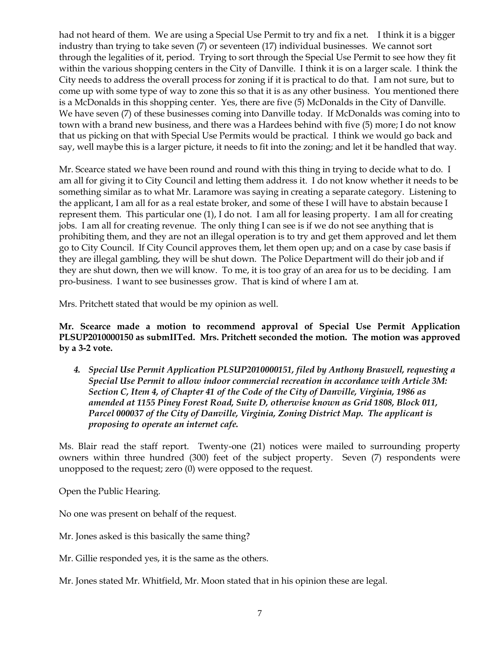had not heard of them. We are using a Special Use Permit to try and fix a net. I think it is a bigger industry than trying to take seven (7) or seventeen (17) individual businesses. We cannot sort through the legalities of it, period. Trying to sort through the Special Use Permit to see how they fit within the various shopping centers in the City of Danville. I think it is on a larger scale. I think the City needs to address the overall process for zoning if it is practical to do that. I am not sure, but to come up with some type of way to zone this so that it is as any other business. You mentioned there is a McDonalds in this shopping center. Yes, there are five (5) McDonalds in the City of Danville. We have seven (7) of these businesses coming into Danville today. If McDonalds was coming into to town with a brand new business, and there was a Hardees behind with five (5) more; I do not know that us picking on that with Special Use Permits would be practical. I think we would go back and say, well maybe this is a larger picture, it needs to fit into the zoning; and let it be handled that way.

Mr. Scearce stated we have been round and round with this thing in trying to decide what to do. I am all for giving it to City Council and letting them address it. I do not know whether it needs to be something similar as to what Mr. Laramore was saying in creating a separate category. Listening to the applicant, I am all for as a real estate broker, and some of these I will have to abstain because I represent them. This particular one (1), I do not. I am all for leasing property. I am all for creating jobs. I am all for creating revenue. The only thing I can see is if we do not see anything that is prohibiting them, and they are not an illegal operation is to try and get them approved and let them go to City Council. If City Council approves them, let them open up; and on a case by case basis if they are illegal gambling, they will be shut down. The Police Department will do their job and if they are shut down, then we will know. To me, it is too gray of an area for us to be deciding. I am pro-business. I want to see businesses grow. That is kind of where I am at.

Mrs. Pritchett stated that would be my opinion as well.

**Mr. Scearce made a motion to recommend approval of Special Use Permit Application PLSUP2010000150 as submIITed. Mrs. Pritchett seconded the motion. The motion was approved by a 3-2 vote.**

*4. Special Use Permit Application PLSUP2010000151, filed by Anthony Braswell, requesting a Special Use Permit to allow indoor commercial recreation in accordance with Article 3M: Section C, Item 4, of Chapter 41 of the Code of the City of Danville, Virginia, 1986 as amended at 1155 Piney Forest Road, Suite D, otherwise known as Grid 1808, Block 011, Parcel 000037 of the City of Danville, Virginia, Zoning District Map. The applicant is proposing to operate an internet cafe.*

Ms. Blair read the staff report. Twenty-one (21) notices were mailed to surrounding property owners within three hundred (300) feet of the subject property. Seven (7) respondents were unopposed to the request; zero (0) were opposed to the request.

Open the Public Hearing.

No one was present on behalf of the request.

Mr. Jones asked is this basically the same thing?

Mr. Gillie responded yes, it is the same as the others.

Mr. Jones stated Mr. Whitfield, Mr. Moon stated that in his opinion these are legal.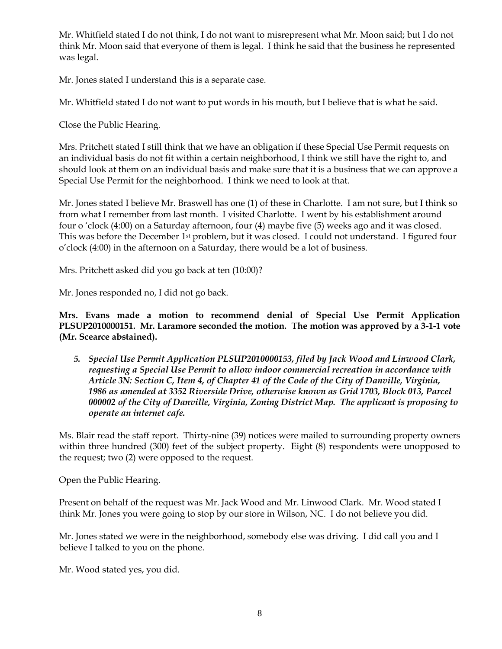Mr. Whitfield stated I do not think, I do not want to misrepresent what Mr. Moon said; but I do not think Mr. Moon said that everyone of them is legal. I think he said that the business he represented was legal.

Mr. Jones stated I understand this is a separate case.

Mr. Whitfield stated I do not want to put words in his mouth, but I believe that is what he said.

Close the Public Hearing.

Mrs. Pritchett stated I still think that we have an obligation if these Special Use Permit requests on an individual basis do not fit within a certain neighborhood, I think we still have the right to, and should look at them on an individual basis and make sure that it is a business that we can approve a Special Use Permit for the neighborhood. I think we need to look at that.

Mr. Jones stated I believe Mr. Braswell has one (1) of these in Charlotte. I am not sure, but I think so from what I remember from last month. I visited Charlotte. I went by his establishment around four o "clock (4:00) on a Saturday afternoon, four (4) maybe five (5) weeks ago and it was closed. This was before the December 1st problem, but it was closed. I could not understand. I figured four o"clock (4:00) in the afternoon on a Saturday, there would be a lot of business.

Mrs. Pritchett asked did you go back at ten (10:00)?

Mr. Jones responded no, I did not go back.

**Mrs. Evans made a motion to recommend denial of Special Use Permit Application PLSUP2010000151. Mr. Laramore seconded the motion. The motion was approved by a 3-1-1 vote (Mr. Scearce abstained).**

*5. Special Use Permit Application PLSUP2010000153, filed by Jack Wood and Linwood Clark, requesting a Special Use Permit to allow indoor commercial recreation in accordance with Article 3N: Section C, Item 4, of Chapter 41 of the Code of the City of Danville, Virginia, 1986 as amended at 3352 Riverside Drive, otherwise known as Grid 1703, Block 013, Parcel 000002 of the City of Danville, Virginia, Zoning District Map. The applicant is proposing to operate an internet cafe.*

Ms. Blair read the staff report. Thirty-nine (39) notices were mailed to surrounding property owners within three hundred (300) feet of the subject property. Eight (8) respondents were unopposed to the request; two (2) were opposed to the request.

Open the Public Hearing.

Present on behalf of the request was Mr. Jack Wood and Mr. Linwood Clark. Mr. Wood stated I think Mr. Jones you were going to stop by our store in Wilson, NC. I do not believe you did.

Mr. Jones stated we were in the neighborhood, somebody else was driving. I did call you and I believe I talked to you on the phone.

Mr. Wood stated yes, you did.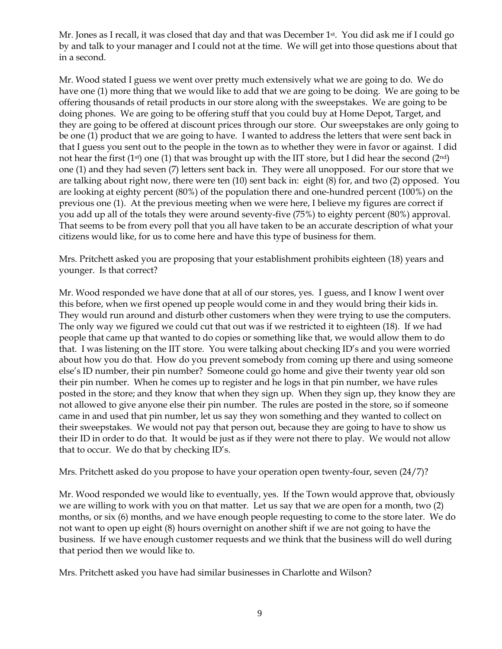Mr. Jones as I recall, it was closed that day and that was December 1<sup>st</sup>. You did ask me if I could go by and talk to your manager and I could not at the time. We will get into those questions about that in a second.

Mr. Wood stated I guess we went over pretty much extensively what we are going to do. We do have one (1) more thing that we would like to add that we are going to be doing. We are going to be offering thousands of retail products in our store along with the sweepstakes. We are going to be doing phones. We are going to be offering stuff that you could buy at Home Depot, Target, and they are going to be offered at discount prices through our store. Our sweepstakes are only going to be one (1) product that we are going to have. I wanted to address the letters that were sent back in that I guess you sent out to the people in the town as to whether they were in favor or against. I did not hear the first  $(1<sup>st</sup>)$  one  $(1)$  that was brought up with the IIT store, but I did hear the second  $(2<sup>nd</sup>)$ one (1) and they had seven (7) letters sent back in. They were all unopposed. For our store that we are talking about right now, there were ten (10) sent back in: eight (8) for, and two (2) opposed. You are looking at eighty percent (80%) of the population there and one-hundred percent (100%) on the previous one (1). At the previous meeting when we were here, I believe my figures are correct if you add up all of the totals they were around seventy-five (75%) to eighty percent (80%) approval. That seems to be from every poll that you all have taken to be an accurate description of what your citizens would like, for us to come here and have this type of business for them.

Mrs. Pritchett asked you are proposing that your establishment prohibits eighteen (18) years and younger. Is that correct?

Mr. Wood responded we have done that at all of our stores, yes. I guess, and I know I went over this before, when we first opened up people would come in and they would bring their kids in. They would run around and disturb other customers when they were trying to use the computers. The only way we figured we could cut that out was if we restricted it to eighteen (18). If we had people that came up that wanted to do copies or something like that, we would allow them to do that. I was listening on the IIT store. You were talking about checking ID"s and you were worried about how you do that. How do you prevent somebody from coming up there and using someone else"s ID number, their pin number? Someone could go home and give their twenty year old son their pin number. When he comes up to register and he logs in that pin number, we have rules posted in the store; and they know that when they sign up. When they sign up, they know they are not allowed to give anyone else their pin number. The rules are posted in the store, so if someone came in and used that pin number, let us say they won something and they wanted to collect on their sweepstakes. We would not pay that person out, because they are going to have to show us their ID in order to do that. It would be just as if they were not there to play. We would not allow that to occur. We do that by checking ID"s.

Mrs. Pritchett asked do you propose to have your operation open twenty-four, seven (24/7)?

Mr. Wood responded we would like to eventually, yes. If the Town would approve that, obviously we are willing to work with you on that matter. Let us say that we are open for a month, two (2) months, or six (6) months, and we have enough people requesting to come to the store later. We do not want to open up eight (8) hours overnight on another shift if we are not going to have the business. If we have enough customer requests and we think that the business will do well during that period then we would like to.

Mrs. Pritchett asked you have had similar businesses in Charlotte and Wilson?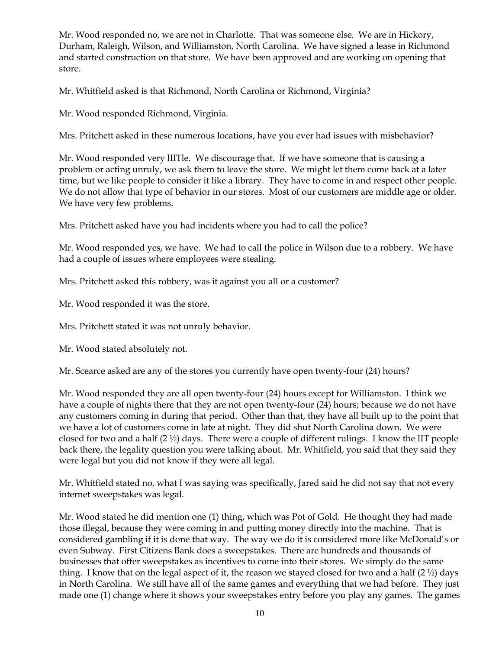Mr. Wood responded no, we are not in Charlotte. That was someone else. We are in Hickory, Durham, Raleigh, Wilson, and Williamston, North Carolina. We have signed a lease in Richmond and started construction on that store. We have been approved and are working on opening that store.

Mr. Whitfield asked is that Richmond, North Carolina or Richmond, Virginia?

Mr. Wood responded Richmond, Virginia.

Mrs. Pritchett asked in these numerous locations, have you ever had issues with misbehavior?

Mr. Wood responded very lIITle. We discourage that. If we have someone that is causing a problem or acting unruly, we ask them to leave the store. We might let them come back at a later time, but we like people to consider it like a library. They have to come in and respect other people. We do not allow that type of behavior in our stores. Most of our customers are middle age or older. We have very few problems.

Mrs. Pritchett asked have you had incidents where you had to call the police?

Mr. Wood responded yes, we have. We had to call the police in Wilson due to a robbery. We have had a couple of issues where employees were stealing.

Mrs. Pritchett asked this robbery, was it against you all or a customer?

Mr. Wood responded it was the store.

Mrs. Pritchett stated it was not unruly behavior.

Mr. Wood stated absolutely not.

Mr. Scearce asked are any of the stores you currently have open twenty-four (24) hours?

Mr. Wood responded they are all open twenty-four (24) hours except for Williamston. I think we have a couple of nights there that they are not open twenty-four (24) hours; because we do not have any customers coming in during that period. Other than that, they have all built up to the point that we have a lot of customers come in late at night. They did shut North Carolina down. We were closed for two and a half (2 ½) days. There were a couple of different rulings. I know the IIT people back there, the legality question you were talking about. Mr. Whitfield, you said that they said they were legal but you did not know if they were all legal.

Mr. Whitfield stated no, what I was saying was specifically, Jared said he did not say that not every internet sweepstakes was legal.

Mr. Wood stated he did mention one (1) thing, which was Pot of Gold. He thought they had made those illegal, because they were coming in and putting money directly into the machine. That is considered gambling if it is done that way. The way we do it is considered more like McDonald"s or even Subway. First Citizens Bank does a sweepstakes. There are hundreds and thousands of businesses that offer sweepstakes as incentives to come into their stores. We simply do the same thing. I know that on the legal aspect of it, the reason we stayed closed for two and a half  $(2 \frac{1}{2})$  days in North Carolina. We still have all of the same games and everything that we had before. They just made one (1) change where it shows your sweepstakes entry before you play any games. The games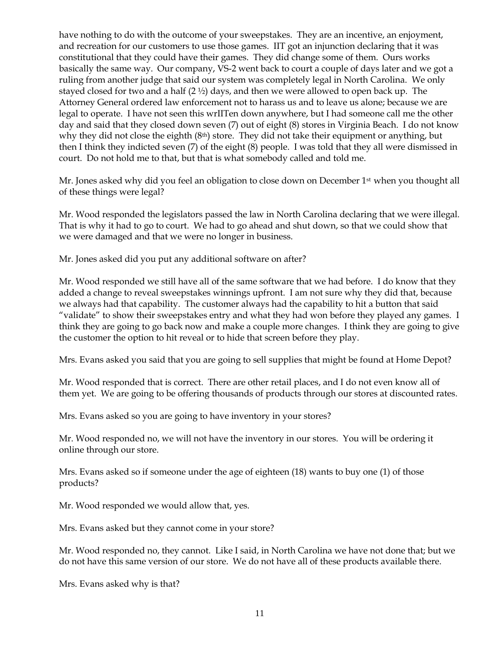have nothing to do with the outcome of your sweepstakes. They are an incentive, an enjoyment, and recreation for our customers to use those games. IIT got an injunction declaring that it was constitutional that they could have their games. They did change some of them. Ours works basically the same way. Our company, VS-2 went back to court a couple of days later and we got a ruling from another judge that said our system was completely legal in North Carolina. We only stayed closed for two and a half  $(2 \frac{1}{2})$  days, and then we were allowed to open back up. The Attorney General ordered law enforcement not to harass us and to leave us alone; because we are legal to operate. I have not seen this wrIITen down anywhere, but I had someone call me the other day and said that they closed down seven (7) out of eight (8) stores in Virginia Beach. I do not know why they did not close the eighth  $(8<sup>th</sup>)$  store. They did not take their equipment or anything, but then I think they indicted seven (7) of the eight (8) people. I was told that they all were dismissed in court. Do not hold me to that, but that is what somebody called and told me.

Mr. Jones asked why did you feel an obligation to close down on December 1<sup>st</sup> when you thought all of these things were legal?

Mr. Wood responded the legislators passed the law in North Carolina declaring that we were illegal. That is why it had to go to court. We had to go ahead and shut down, so that we could show that we were damaged and that we were no longer in business.

Mr. Jones asked did you put any additional software on after?

Mr. Wood responded we still have all of the same software that we had before. I do know that they added a change to reveal sweepstakes winnings upfront. I am not sure why they did that, because we always had that capability. The customer always had the capability to hit a button that said "validate" to show their sweepstakes entry and what they had won before they played any games. I think they are going to go back now and make a couple more changes. I think they are going to give the customer the option to hit reveal or to hide that screen before they play.

Mrs. Evans asked you said that you are going to sell supplies that might be found at Home Depot?

Mr. Wood responded that is correct. There are other retail places, and I do not even know all of them yet. We are going to be offering thousands of products through our stores at discounted rates.

Mrs. Evans asked so you are going to have inventory in your stores?

Mr. Wood responded no, we will not have the inventory in our stores. You will be ordering it online through our store.

Mrs. Evans asked so if someone under the age of eighteen (18) wants to buy one (1) of those products?

Mr. Wood responded we would allow that, yes.

Mrs. Evans asked but they cannot come in your store?

Mr. Wood responded no, they cannot. Like I said, in North Carolina we have not done that; but we do not have this same version of our store. We do not have all of these products available there.

Mrs. Evans asked why is that?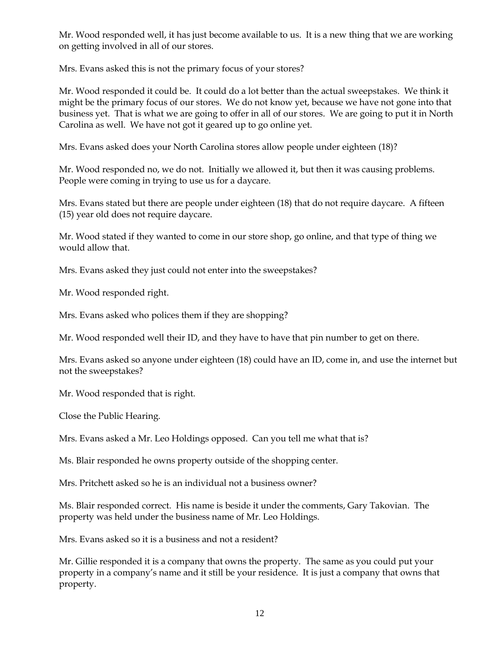Mr. Wood responded well, it has just become available to us. It is a new thing that we are working on getting involved in all of our stores.

Mrs. Evans asked this is not the primary focus of your stores?

Mr. Wood responded it could be. It could do a lot better than the actual sweepstakes. We think it might be the primary focus of our stores. We do not know yet, because we have not gone into that business yet. That is what we are going to offer in all of our stores. We are going to put it in North Carolina as well. We have not got it geared up to go online yet.

Mrs. Evans asked does your North Carolina stores allow people under eighteen (18)?

Mr. Wood responded no, we do not. Initially we allowed it, but then it was causing problems. People were coming in trying to use us for a daycare.

Mrs. Evans stated but there are people under eighteen (18) that do not require daycare. A fifteen (15) year old does not require daycare.

Mr. Wood stated if they wanted to come in our store shop, go online, and that type of thing we would allow that.

Mrs. Evans asked they just could not enter into the sweepstakes?

Mr. Wood responded right.

Mrs. Evans asked who polices them if they are shopping?

Mr. Wood responded well their ID, and they have to have that pin number to get on there.

Mrs. Evans asked so anyone under eighteen (18) could have an ID, come in, and use the internet but not the sweepstakes?

Mr. Wood responded that is right.

Close the Public Hearing.

Mrs. Evans asked a Mr. Leo Holdings opposed. Can you tell me what that is?

Ms. Blair responded he owns property outside of the shopping center.

Mrs. Pritchett asked so he is an individual not a business owner?

Ms. Blair responded correct. His name is beside it under the comments, Gary Takovian. The property was held under the business name of Mr. Leo Holdings.

Mrs. Evans asked so it is a business and not a resident?

Mr. Gillie responded it is a company that owns the property. The same as you could put your property in a company"s name and it still be your residence. It is just a company that owns that property.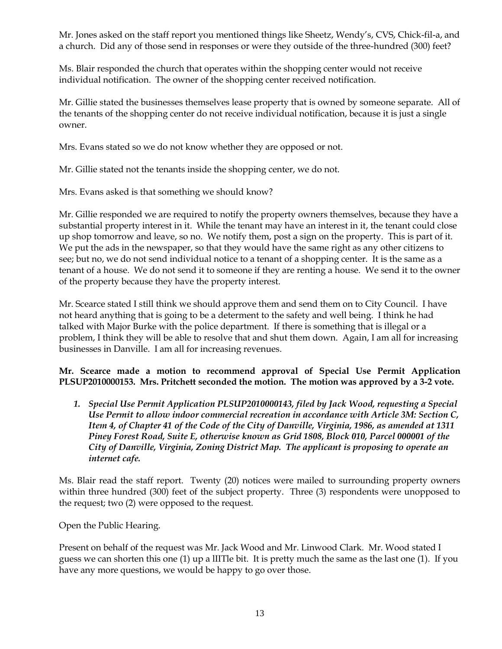Mr. Jones asked on the staff report you mentioned things like Sheetz, Wendy"s, CVS, Chick-fil-a, and a church. Did any of those send in responses or were they outside of the three-hundred (300) feet?

Ms. Blair responded the church that operates within the shopping center would not receive individual notification. The owner of the shopping center received notification.

Mr. Gillie stated the businesses themselves lease property that is owned by someone separate. All of the tenants of the shopping center do not receive individual notification, because it is just a single owner.

Mrs. Evans stated so we do not know whether they are opposed or not.

Mr. Gillie stated not the tenants inside the shopping center, we do not.

Mrs. Evans asked is that something we should know?

Mr. Gillie responded we are required to notify the property owners themselves, because they have a substantial property interest in it. While the tenant may have an interest in it, the tenant could close up shop tomorrow and leave, so no. We notify them, post a sign on the property. This is part of it. We put the ads in the newspaper, so that they would have the same right as any other citizens to see; but no, we do not send individual notice to a tenant of a shopping center. It is the same as a tenant of a house. We do not send it to someone if they are renting a house. We send it to the owner of the property because they have the property interest.

Mr. Scearce stated I still think we should approve them and send them on to City Council. I have not heard anything that is going to be a determent to the safety and well being. I think he had talked with Major Burke with the police department. If there is something that is illegal or a problem, I think they will be able to resolve that and shut them down. Again, I am all for increasing businesses in Danville. I am all for increasing revenues.

**Mr. Scearce made a motion to recommend approval of Special Use Permit Application PLSUP2010000153. Mrs. Pritchett seconded the motion. The motion was approved by a 3-2 vote.**

*1. Special Use Permit Application PLSUP2010000143, filed by Jack Wood, requesting a Special Use Permit to allow indoor commercial recreation in accordance with Article 3M: Section C, Item 4, of Chapter 41 of the Code of the City of Danville, Virginia, 1986, as amended at 1311 Piney Forest Road, Suite E, otherwise known as Grid 1808, Block 010, Parcel 000001 of the City of Danville, Virginia, Zoning District Map. The applicant is proposing to operate an internet cafe.*

Ms. Blair read the staff report. Twenty (20) notices were mailed to surrounding property owners within three hundred (300) feet of the subject property. Three (3) respondents were unopposed to the request; two (2) were opposed to the request.

Open the Public Hearing.

Present on behalf of the request was Mr. Jack Wood and Mr. Linwood Clark. Mr. Wood stated I guess we can shorten this one (1) up a lIITle bit. It is pretty much the same as the last one (1). If you have any more questions, we would be happy to go over those.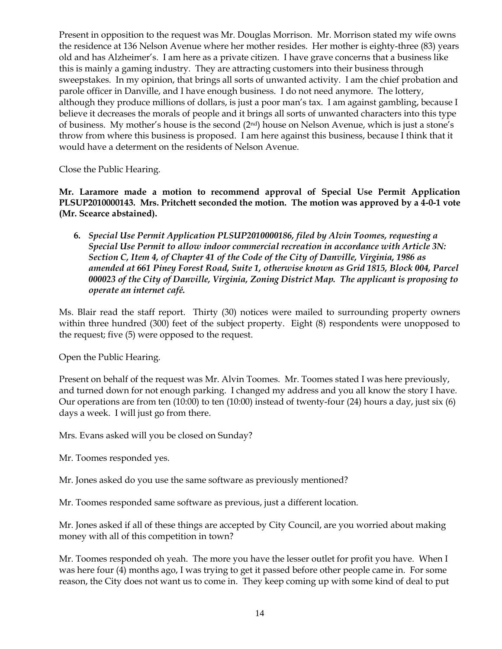Present in opposition to the request was Mr. Douglas Morrison. Mr. Morrison stated my wife owns the residence at 136 Nelson Avenue where her mother resides. Her mother is eighty-three (83) years old and has Alzheimer"s. I am here as a private citizen. I have grave concerns that a business like this is mainly a gaming industry. They are attracting customers into their business through sweepstakes. In my opinion, that brings all sorts of unwanted activity. I am the chief probation and parole officer in Danville, and I have enough business. I do not need anymore. The lottery, although they produce millions of dollars, is just a poor man"s tax. I am against gambling, because I believe it decreases the morals of people and it brings all sorts of unwanted characters into this type of business. My mother's house is the second (2<sup>nd</sup>) house on Nelson Avenue, which is just a stone's throw from where this business is proposed. I am here against this business, because I think that it would have a determent on the residents of Nelson Avenue.

Close the Public Hearing.

**Mr. Laramore made a motion to recommend approval of Special Use Permit Application PLSUP2010000143. Mrs. Pritchett seconded the motion. The motion was approved by a 4-0-1 vote (Mr. Scearce abstained).**

**6.** *Special Use Permit Application PLSUP2010000186, filed by Alvin Toomes, requesting a Special Use Permit to allow indoor commercial recreation in accordance with Article 3N: Section C, Item 4, of Chapter 41 of the Code of the City of Danville, Virginia, 1986 as amended at 661 Piney Forest Road, Suite 1, otherwise known as Grid 1815, Block 004, Parcel 000023 of the City of Danville, Virginia, Zoning District Map. The applicant is proposing to operate an internet café.*

Ms. Blair read the staff report. Thirty (30) notices were mailed to surrounding property owners within three hundred (300) feet of the subject property. Eight (8) respondents were unopposed to the request; five (5) were opposed to the request.

Open the Public Hearing.

Present on behalf of the request was Mr. Alvin Toomes. Mr. Toomes stated I was here previously, and turned down for not enough parking. I changed my address and you all know the story I have. Our operations are from ten (10:00) to ten (10:00) instead of twenty-four (24) hours a day, just six (6) days a week. I will just go from there.

Mrs. Evans asked will you be closed on Sunday?

Mr. Toomes responded yes.

Mr. Jones asked do you use the same software as previously mentioned?

Mr. Toomes responded same software as previous, just a different location.

Mr. Jones asked if all of these things are accepted by City Council, are you worried about making money with all of this competition in town?

Mr. Toomes responded oh yeah. The more you have the lesser outlet for profit you have. When I was here four (4) months ago, I was trying to get it passed before other people came in. For some reason, the City does not want us to come in. They keep coming up with some kind of deal to put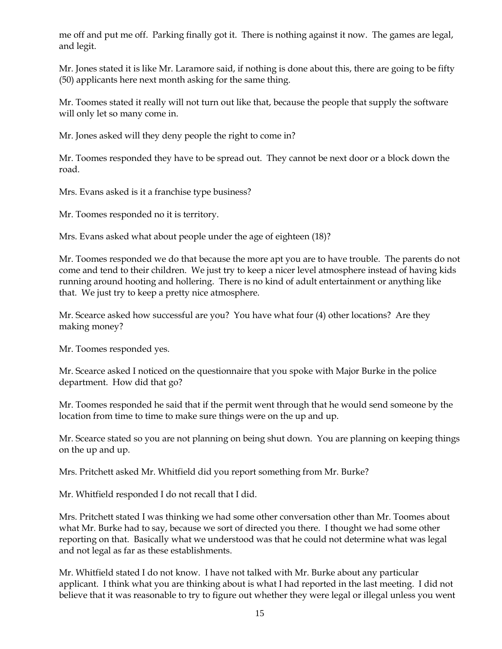me off and put me off. Parking finally got it. There is nothing against it now. The games are legal, and legit.

Mr. Jones stated it is like Mr. Laramore said, if nothing is done about this, there are going to be fifty (50) applicants here next month asking for the same thing.

Mr. Toomes stated it really will not turn out like that, because the people that supply the software will only let so many come in.

Mr. Jones asked will they deny people the right to come in?

Mr. Toomes responded they have to be spread out. They cannot be next door or a block down the road.

Mrs. Evans asked is it a franchise type business?

Mr. Toomes responded no it is territory.

Mrs. Evans asked what about people under the age of eighteen (18)?

Mr. Toomes responded we do that because the more apt you are to have trouble. The parents do not come and tend to their children. We just try to keep a nicer level atmosphere instead of having kids running around hooting and hollering. There is no kind of adult entertainment or anything like that. We just try to keep a pretty nice atmosphere.

Mr. Scearce asked how successful are you? You have what four (4) other locations? Are they making money?

Mr. Toomes responded yes.

Mr. Scearce asked I noticed on the questionnaire that you spoke with Major Burke in the police department. How did that go?

Mr. Toomes responded he said that if the permit went through that he would send someone by the location from time to time to make sure things were on the up and up.

Mr. Scearce stated so you are not planning on being shut down. You are planning on keeping things on the up and up.

Mrs. Pritchett asked Mr. Whitfield did you report something from Mr. Burke?

Mr. Whitfield responded I do not recall that I did.

Mrs. Pritchett stated I was thinking we had some other conversation other than Mr. Toomes about what Mr. Burke had to say, because we sort of directed you there. I thought we had some other reporting on that. Basically what we understood was that he could not determine what was legal and not legal as far as these establishments.

Mr. Whitfield stated I do not know. I have not talked with Mr. Burke about any particular applicant. I think what you are thinking about is what I had reported in the last meeting. I did not believe that it was reasonable to try to figure out whether they were legal or illegal unless you went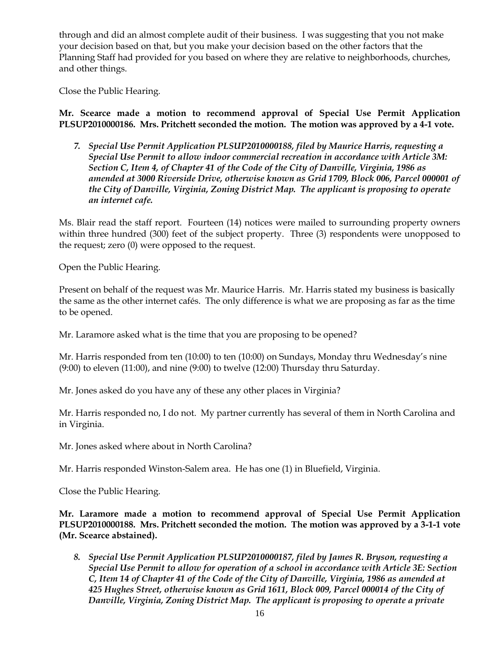through and did an almost complete audit of their business. I was suggesting that you not make your decision based on that, but you make your decision based on the other factors that the Planning Staff had provided for you based on where they are relative to neighborhoods, churches, and other things.

Close the Public Hearing.

**Mr. Scearce made a motion to recommend approval of Special Use Permit Application PLSUP2010000186. Mrs. Pritchett seconded the motion. The motion was approved by a 4-1 vote.**

*7. Special Use Permit Application PLSUP2010000188, filed by Maurice Harris, requesting a Special Use Permit to allow indoor commercial recreation in accordance with Article 3M: Section C, Item 4, of Chapter 41 of the Code of the City of Danville, Virginia, 1986 as amended at 3000 Riverside Drive, otherwise known as Grid 1709, Block 006, Parcel 000001 of the City of Danville, Virginia, Zoning District Map. The applicant is proposing to operate an internet cafe.*

Ms. Blair read the staff report. Fourteen (14) notices were mailed to surrounding property owners within three hundred (300) feet of the subject property. Three (3) respondents were unopposed to the request; zero (0) were opposed to the request.

Open the Public Hearing.

Present on behalf of the request was Mr. Maurice Harris. Mr. Harris stated my business is basically the same as the other internet cafés. The only difference is what we are proposing as far as the time to be opened.

Mr. Laramore asked what is the time that you are proposing to be opened?

Mr. Harris responded from ten (10:00) to ten (10:00) on Sundays, Monday thru Wednesday's nine (9:00) to eleven (11:00), and nine (9:00) to twelve (12:00) Thursday thru Saturday.

Mr. Jones asked do you have any of these any other places in Virginia?

Mr. Harris responded no, I do not. My partner currently has several of them in North Carolina and in Virginia.

Mr. Jones asked where about in North Carolina?

Mr. Harris responded Winston-Salem area. He has one (1) in Bluefield, Virginia.

Close the Public Hearing.

**Mr. Laramore made a motion to recommend approval of Special Use Permit Application PLSUP2010000188. Mrs. Pritchett seconded the motion. The motion was approved by a 3-1-1 vote (Mr. Scearce abstained).**

*8. Special Use Permit Application PLSUP2010000187, filed by James R. Bryson, requesting a Special Use Permit to allow for operation of a school in accordance with Article 3E: Section C, Item 14 of Chapter 41 of the Code of the City of Danville, Virginia, 1986 as amended at 425 Hughes Street, otherwise known as Grid 1611, Block 009, Parcel 000014 of the City of Danville, Virginia, Zoning District Map. The applicant is proposing to operate a private*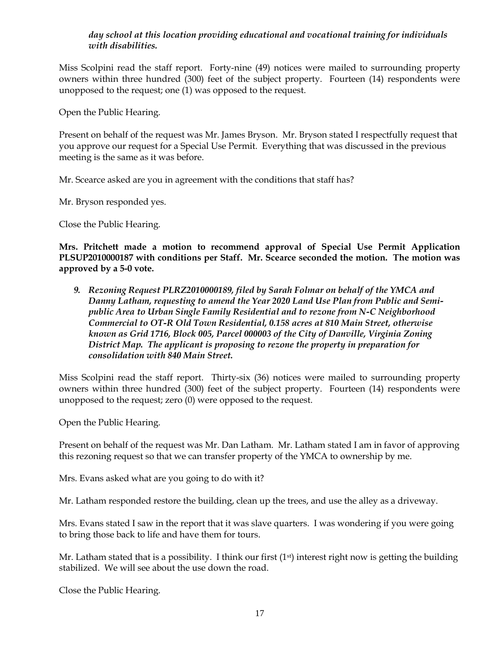# *day school at this location providing educational and vocational training for individuals with disabilities.*

Miss Scolpini read the staff report. Forty-nine (49) notices were mailed to surrounding property owners within three hundred (300) feet of the subject property. Fourteen (14) respondents were unopposed to the request; one (1) was opposed to the request.

Open the Public Hearing.

Present on behalf of the request was Mr. James Bryson. Mr. Bryson stated I respectfully request that you approve our request for a Special Use Permit. Everything that was discussed in the previous meeting is the same as it was before.

Mr. Scearce asked are you in agreement with the conditions that staff has?

Mr. Bryson responded yes.

Close the Public Hearing.

**Mrs. Pritchett made a motion to recommend approval of Special Use Permit Application PLSUP2010000187 with conditions per Staff. Mr. Scearce seconded the motion. The motion was approved by a 5-0 vote.**

*9. Rezoning Request PLRZ2010000189, filed by Sarah Folmar on behalf of the YMCA and Danny Latham, requesting to amend the Year 2020 Land Use Plan from Public and Semipublic Area to Urban Single Family Residential and to rezone from N-C Neighborhood Commercial to OT-R Old Town Residential, 0.158 acres at 810 Main Street, otherwise known as Grid 1716, Block 005, Parcel 000003 of the City of Danville, Virginia Zoning District Map. The applicant is proposing to rezone the property in preparation for consolidation with 840 Main Street.*

Miss Scolpini read the staff report. Thirty-six (36) notices were mailed to surrounding property owners within three hundred (300) feet of the subject property. Fourteen (14) respondents were unopposed to the request; zero (0) were opposed to the request.

Open the Public Hearing.

Present on behalf of the request was Mr. Dan Latham. Mr. Latham stated I am in favor of approving this rezoning request so that we can transfer property of the YMCA to ownership by me.

Mrs. Evans asked what are you going to do with it?

Mr. Latham responded restore the building, clean up the trees, and use the alley as a driveway.

Mrs. Evans stated I saw in the report that it was slave quarters. I was wondering if you were going to bring those back to life and have them for tours.

Mr. Latham stated that is a possibility. I think our first  $(1<sup>st</sup>)$  interest right now is getting the building stabilized. We will see about the use down the road.

Close the Public Hearing.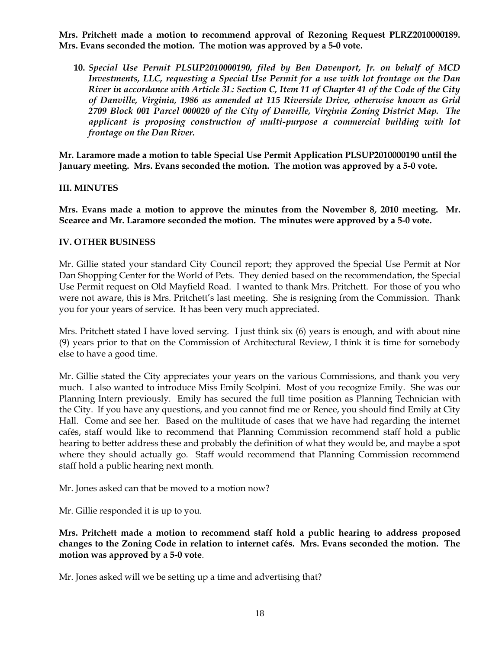**Mrs. Pritchett made a motion to recommend approval of Rezoning Request PLRZ2010000189. Mrs. Evans seconded the motion. The motion was approved by a 5-0 vote.**

**10.** *Special Use Permit PLSUP2010000190, filed by Ben Davenport, Jr. on behalf of MCD Investments, LLC, requesting a Special Use Permit for a use with lot frontage on the Dan River in accordance with Article 3L: Section C, Item 11 of Chapter 41 of the Code of the City of Danville, Virginia, 1986 as amended at 115 Riverside Drive, otherwise known as Grid 2709 Block 001 Parcel 000020 of the City of Danville, Virginia Zoning District Map. The applicant is proposing construction of multi-purpose a commercial building with lot frontage on the Dan River.*

**Mr. Laramore made a motion to table Special Use Permit Application PLSUP2010000190 until the January meeting. Mrs. Evans seconded the motion. The motion was approved by a 5-0 vote.**

### **III. MINUTES**

**Mrs. Evans made a motion to approve the minutes from the November 8, 2010 meeting. Mr. Scearce and Mr. Laramore seconded the motion. The minutes were approved by a 5-0 vote.**

#### **IV. OTHER BUSINESS**

Mr. Gillie stated your standard City Council report; they approved the Special Use Permit at Nor Dan Shopping Center for the World of Pets. They denied based on the recommendation, the Special Use Permit request on Old Mayfield Road. I wanted to thank Mrs. Pritchett. For those of you who were not aware, this is Mrs. Pritchett's last meeting. She is resigning from the Commission. Thank you for your years of service. It has been very much appreciated.

Mrs. Pritchett stated I have loved serving. I just think six (6) years is enough, and with about nine (9) years prior to that on the Commission of Architectural Review, I think it is time for somebody else to have a good time.

Mr. Gillie stated the City appreciates your years on the various Commissions, and thank you very much. I also wanted to introduce Miss Emily Scolpini. Most of you recognize Emily. She was our Planning Intern previously. Emily has secured the full time position as Planning Technician with the City. If you have any questions, and you cannot find me or Renee, you should find Emily at City Hall. Come and see her. Based on the multitude of cases that we have had regarding the internet cafés, staff would like to recommend that Planning Commission recommend staff hold a public hearing to better address these and probably the definition of what they would be, and maybe a spot where they should actually go. Staff would recommend that Planning Commission recommend staff hold a public hearing next month.

Mr. Jones asked can that be moved to a motion now?

Mr. Gillie responded it is up to you.

**Mrs. Pritchett made a motion to recommend staff hold a public hearing to address proposed changes to the Zoning Code in relation to internet cafés. Mrs. Evans seconded the motion. The motion was approved by a 5-0 vote**.

Mr. Jones asked will we be setting up a time and advertising that?